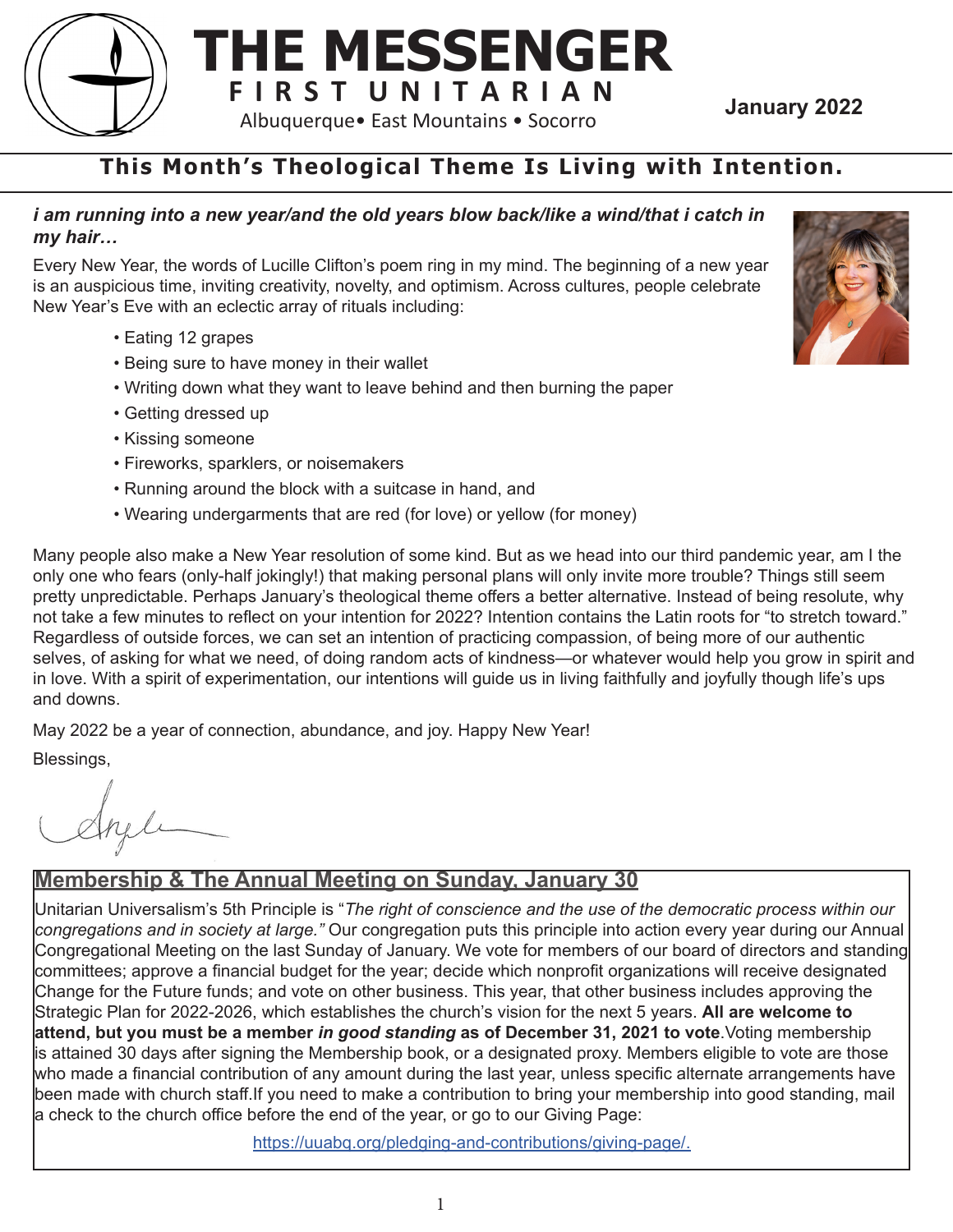

## **This Month's Theological Theme Is Living with Intention.**

#### *i am running into a new year/and the old years blow back/like a wind/that i catch in my hair…*

Every New Year, the words of Lucille Clifton's poem ring in my mind. The beginning of a new year is an auspicious time, inviting creativity, novelty, and optimism. Across cultures, people celebrate New Year's Eve with an eclectic array of rituals including:

- Eating 12 grapes
- Being sure to have money in their wallet
- Writing down what they want to leave behind and then burning the paper
- Getting dressed up
- Kissing someone
- Fireworks, sparklers, or noisemakers
- Running around the block with a suitcase in hand, and
- Wearing undergarments that are red (for love) or yellow (for money)

Many people also make a New Year resolution of some kind. But as we head into our third pandemic year, am I the only one who fears (only-half jokingly!) that making personal plans will only invite more trouble? Things still seem pretty unpredictable. Perhaps January's theological theme offers a better alternative. Instead of being resolute, why not take a few minutes to reflect on your intention for 2022? Intention contains the Latin roots for "to stretch toward." Regardless of outside forces, we can set an intention of practicing compassion, of being more of our authentic selves, of asking for what we need, of doing random acts of kindness—or whatever would help you grow in spirit and in love. With a spirit of experimentation, our intentions will guide us in living faithfully and joyfully though life's ups and downs.

May 2022 be a year of connection, abundance, and joy. Happy New Year!

Blessings,

#### **Membership & The Annual Meeting on Sunday, January 30**

Unitarian Universalism's 5th Principle is "*The right of conscience and the use of the democratic process within our congregations and in society at large."* Our congregation puts this principle into action every year during our Annual Congregational Meeting on the last Sunday of January. We vote for members of our board of directors and standing committees; approve a financial budget for the year; decide which nonprofit organizations will receive designated Change for the Future funds; and vote on other business. This year, that other business includes approving the Strategic Plan for 2022-2026, which establishes the church's vision for the next 5 years. **All are welcome to attend, but you must be a member** *in good standing* **as of December 31, 2021 to vote**.Voting membership is attained 30 days after signing the Membership book, or a designated proxy. Members eligible to vote are those who made a financial contribution of any amount during the last year, unless specific alternate arrangements have been made with church staff.If you need to make a contribution to bring your membership into good standing, mail a check to the church office before the end of the year, or go to our Giving Page:

https://uuabq.org/pledging-and-contributions/giving-page/.

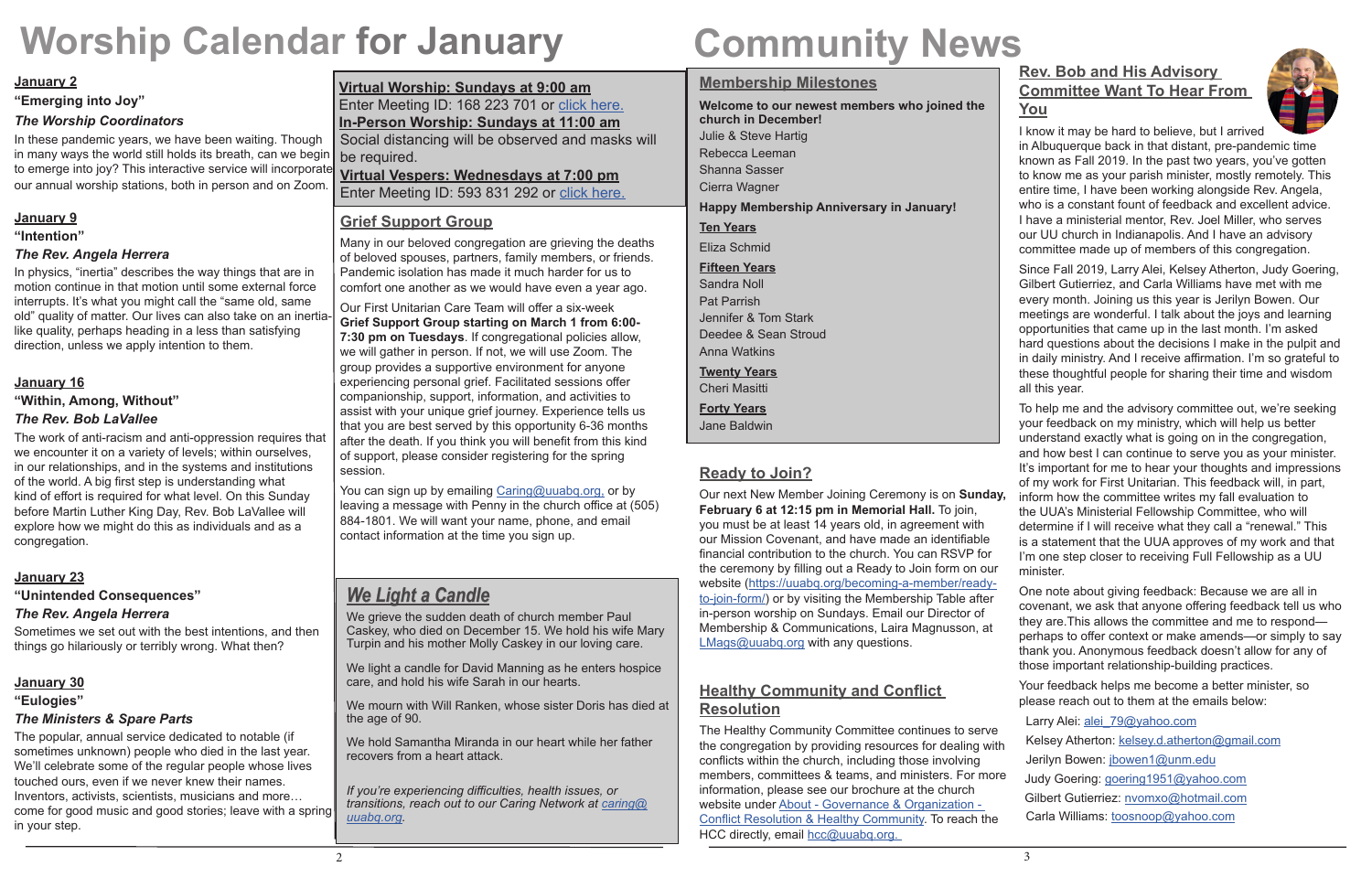#### **January 2**

**"Emerging into Joy"**

#### *The Worship Coordinators*

In these pandemic years, we have been waiting. Though in many ways the world still holds its breath, can we begin to emerge into joy? This interactive service will incorporate our annual worship stations, both in person and on Zoom.

## **January 9**

#### **"Intention"**

#### *The Rev. Angela Herrera*

In physics, "inertia" describes the way things that are in motion continue in that motion until some external force interrupts. It's what you might call the "same old, same old" quality of matter. Our lives can also take on an inertialike quality, perhaps heading in a less than satisfying direction, unless we apply intention to them.

## **January 16**

#### **"Within, Among, Without"** *The Rev. Bob LaVallee*

The work of anti-racism and anti-oppression requires that we encounter it on a variety of levels; within ourselves, in our relationships, and in the systems and institutions of the world. A big first step is understanding what kind of effort is required for what level. On this Sunday before Martin Luther King Day, Rev. Bob LaVallee will explore how we might do this as individuals and as a congregation.

Our next New Member Joining Ceremony is on **Sunday, February 6 at 12:15 pm in Memorial Hall.** To join, you must be at least 14 years old, in agreement with our Mission Covenant, and have made an identifiable financial contribution to the church. You can RSVP for the ceremony by filling out a Ready to Join form on our website (https://uuabq.org/becoming-a-member/readyto-join-form/) or by visiting the Membership Table after in-person worship on Sundays. Email our Director of Membership & Communications, Laira Magnusson, at LMags@uuabq.org with any questions.

#### **January 23**

#### **"Unintended Consequences"**

#### *The Rev. Angela Herrera*

Sometimes we set out with the best intentions, and then things go hilariously or terribly wrong. What then?

#### **January 30**

#### **"Eulogies"**

#### *The Ministers & Spare Parts*

The Healthy Community Committee continues to serve the congregation by providing resources for dealing with conflicts within the church, including those involving members, committees & teams, and ministers. For more information, please see our brochure at the church website under About - Governance & Organization - Conflict Resolution & Healthy Community. To reach the HCC directly, email hcc@uuabq.org.

The popular, annual service dedicated to notable (if sometimes unknown) people who died in the last year. We'll celebrate some of the regular people whose lives touched ours, even if we never knew their names. Inventors, activists, scientists, musicians and more… come for good music and good stories; leave with a spring in your step.

# **Worship Calendar for January**

### **Membership Milestones**

**Welcome to our newest members who joined the church in December!** Julie & Steve Hartig Rebecca Leeman Shanna Sasser Cierra Wagner **Happy Membership Anniversary in January! Ten Years** Eliza Schmid **Fifteen Years** Sandra Noll

Pat Parrish Jennifer & Tom Stark Deedee & Sean Stroud Anna Watkins

**Twenty Years**

Cheri Masitti

**Forty Years**

Jane Baldwin

## **Ready to Join?**

### **Healthy Community and Conflict Resolution**

# **Community News**

#### **Virtual Worship: Sundays at 9:00 am** Enter Meeting ID: 168 223 701 or click here.

### **In-Person Worship: Sundays at 11:00 am**

Social distancing will be observed and masks will be required.

#### **Virtual Vespers: Wednesdays at 7:00 pm**

Enter Meeting ID: 593 831 292 or click here.

You can sign up by emailing Caring@uuabg.org, or by leaving a message with Penny in the church office at (505) 884-1801. We will want your name, phone, and email contact information at the time you sign up.

## **Rev. Bob and His Advisory Committee Want To Hear From You**



We light a candle for David Manning as he enters hospice care, and hold his wife Sarah in our hearts.

I know it may be hard to believe, but I arrived in Albuquerque back in that distant, pre-pandemic time known as Fall 2019. In the past two years, you've gotten to know me as your parish minister, mostly remotely. This entire time, I have been working alongside Rev. Angela, who is a constant fount of feedback and excellent advice. I have a ministerial mentor, Rev. Joel Miller, who serves our UU church in Indianapolis. And I have an advisory committee made up of members of this congregation.

Since Fall 2019, Larry Alei, Kelsey Atherton, Judy Goering, Gilbert Gutierriez, and Carla Williams have met with me every month. Joining us this year is Jerilyn Bowen. Our meetings are wonderful. I talk about the joys and learning opportunities that came up in the last month. I'm asked hard questions about the decisions I make in the pulpit and in daily ministry. And I receive affirmation. I'm so grateful to these thoughtful people for sharing their time and wisdom all this year.

To help me and the advisory committee out, we're seeking your feedback on my ministry, which will help us better understand exactly what is going on in the congregation, and how best I can continue to serve you as your minister. It's important for me to hear your thoughts and impressions of my work for First Unitarian. This feedback will, in part, inform how the committee writes my fall evaluation to the UUA's Ministerial Fellowship Committee, who will determine if I will receive what they call a "renewal." This is a statement that the UUA approves of my work and that I'm one step closer to receiving Full Fellowship as a UU minister.

One note about giving feedback: Because we are all in covenant, we ask that anyone offering feedback tell us who they are.This allows the committee and me to respond perhaps to offer context or make amends—or simply to say thank you. Anonymous feedback doesn't allow for any of those important relationship-building practices.

Your feedback helps me become a better minister, so please reach out to them at the emails below:

Larry Alei: alei 79@yahoo.com Kelsey Atherton: kelsey.d.atherton@gmail.com Jerilyn Bowen: jbowen1@unm.edu Judy Goering: goering1951@yahoo.com Gilbert Gutierriez: nvomxo@hotmail.com Carla Williams: toosnoop@yahoo.com

### **Grief Support Group**

Many in our beloved congregation are grieving the deaths of beloved spouses, partners, family members, or friends. Pandemic isolation has made it much harder for us to comfort one another as we would have even a year ago.

Our First Unitarian Care Team will offer a six-week **Grief Support Group starting on March 1 from 6:00- 7:30 pm on Tuesdays**. If congregational policies allow, we will gather in person. If not, we will use Zoom. The group provides a supportive environment for anyone experiencing personal grief. Facilitated sessions offer companionship, support, information, and activities to assist with your unique grief journey. Experience tells us that you are best served by this opportunity 6-36 months after the death. If you think you will benefit from this kind of support, please consider registering for the spring session.

## *We Light a Candle*

We grieve the sudden death of church member Paul Caskey, who died on December 15. We hold his wife Mary Turpin and his mother Molly Caskey in our loving care.

We mourn with Will Ranken, whose sister Doris has died at the age of 90.

We hold Samantha Miranda in our heart while her father recovers from a heart attack.

*If you're experiencing difficulties, health issues, or transitions, reach out to our Caring Network at caring@ uuabq.org.*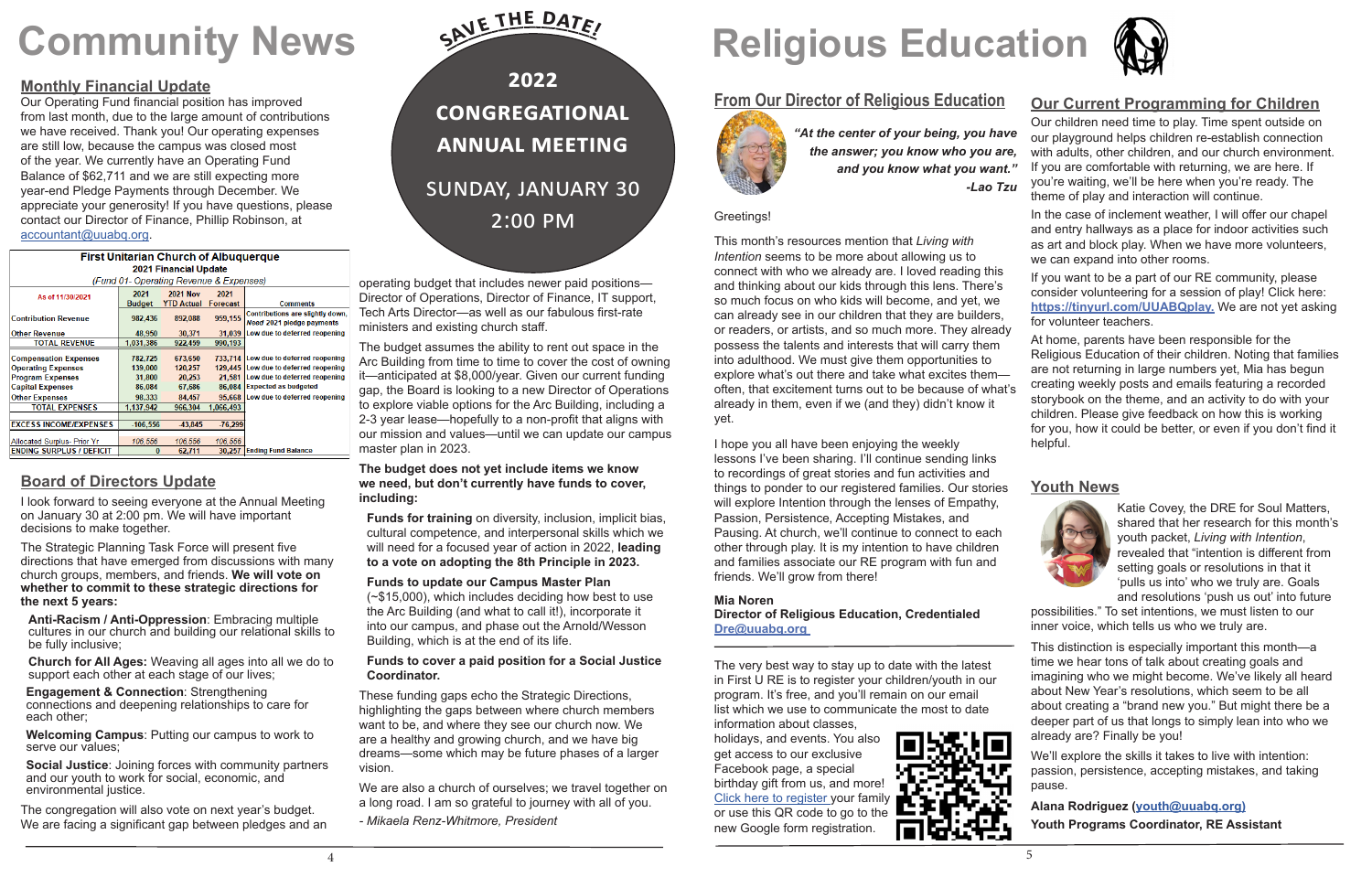# **Community News**

## **From Our Director of Religious Education**



#### Greetings!

This month's resources mention that *Living with Intention* seems to be more about allowing us to connect with who we already are. I loved reading this and thinking about our kids through this lens. There's so much focus on who kids will become, and yet, we can already see in our children that they are builders, or readers, or artists, and so much more. They already possess the talents and interests that will carry them into adulthood. We must give them opportunities to explore what's out there and take what excites them often, that excitement turns out to be because of what's already in them, even if we (and they) didn't know it yet.

I hope you all have been enjoying the weekly lessons I've been sharing. I'll continue sending links to recordings of great stories and fun activities and things to ponder to our registered families. Our stories will explore Intention through the lenses of Empathy, Passion, Persistence, Accepting Mistakes, and Pausing. At church, we'll continue to connect to each other through play. It is my intention to have children and families associate our RE program with fun and friends. We'll grow from there!

*"At the center of your being, you have the answer; you know who you are, and you know what you want." -Lao Tzu*  Our children need time to play. Time spent outside on our playground helps children re-establish connection with adults, other children, and our church environment. If you are comfortable with returning, we are here. If you're waiting, we'll be here when you're ready. The theme of play and interaction will continue. In the case of inclement weather, I will offer our chapel

#### **Mia Noren**

**Director of Religious Education, Credentialed Dre@uuabq.org** 

The very best way to stay up to date with the latest in First U RE is to register your children/youth in our program. It's free, and you'll remain on our email list which we use to communicate the most to date information about classes,

holidays, and events. You also get access to our exclusive Facebook page, a special birthday gift from us, and more! Click here to register your family or use this QR code to go to the new Google form registration.





#### **Our Current Programming for Children**

and entry hallways as a place for indoor activities such as art and block play. When we have more volunteers, we can expand into other rooms.

If you want to be a part of our RE community, please consider volunteering for a session of play! Click here: **https://tinyurl.com/UUABQplay.** We are not yet asking for volunteer teachers.

At home, parents have been responsible for the Religious Education of their children. Noting that families are not returning in large numbers yet, Mia has begun creating weekly posts and emails featuring a recorded storybook on the theme, and an activity to do with your children. Please give feedback on how this is working for you, how it could be better, or even if you don't find it helpful.

#### **Youth News**



Katie Covey, the DRE for Soul Matters, shared that her research for this month's youth packet, *Living with Intention*, revealed that "intention is different from setting goals or resolutions in that it 'pulls us into' who we truly are. Goals and resolutions 'push us out' into future

possibilities." To set intentions, we must listen to our inner voice, which tells us who we truly are.

This distinction is especially important this month—a time we hear tons of talk about creating goals and imagining who we might become. We've likely all heard about New Year's resolutions, which seem to be all about creating a "brand new you." But might there be a deeper part of us that longs to simply lean into who we already are? Finally be you!

We'll explore the skills it takes to live with intention: passion, persistence, accepting mistakes, and taking pause.

**Alana Rodriguez (youth@uuabq.org) Youth Programs Coordinator, RE Assistant** 

4 5 5 5 and 3 and 3 and 3 and 3 and 3 and 3 and 3 and 3 and 3 and 3 and 3 and 3 and 3 and 3 and 3 and 3 and 3 and 3 and 3 and 3 and 3 and 3 and 3 and 3 and 3 and 3 and 3 and 3 and 3 and 3 and 3 and 3 and 3 and 3 and 3 and

# **Religious Education**

## **Monthly Financial Update**

Our Operating Fund financial position has improved from last month, due to the large amount of contributions we have received. Thank you! Our operating expenses are still low, because the campus was closed most of the year. We currently have an Operating Fund Balance of \$62,711 and we are still expecting more year-end Pledge Payments through December. We appreciate your generosity! If you have questions, please contact our Director of Finance, Phillip Robinson, at accountant@uuabq.org.

| <b>First Unitarian Church of Albuguerque</b> |               |                   |                 |                                                               |
|----------------------------------------------|---------------|-------------------|-----------------|---------------------------------------------------------------|
| <b>2021 Financial Update</b>                 |               |                   |                 |                                                               |
| (Fund 01- Operating Revenue & Expenses)      |               |                   |                 |                                                               |
|                                              | 2021          | 2021 Nov          | 2021            |                                                               |
| As of 11/30/2021                             | <b>Budget</b> | <b>YTD Actual</b> | <b>Forecast</b> | <b>Comments</b>                                               |
| <b>Contribution Revenue</b>                  | 982,436       | 892,088           | 959,155         | Contributions are slightly down,<br>Need 2021 pledge payments |
| <b>Other Revenue</b>                         | 48,950        | 30,371            | 31,039          | Low due to deferred reopening                                 |
| <b>TOTAL REVENUE</b>                         | 1.031.386     | 922.459           | 990,193         |                                                               |
| <b>Compensation Expenses</b>                 | 782.725       | 673,650           |                 | 733,714 Low due to deferred reopening                         |
| <b>Operating Expenses</b>                    | 139.000       | 120.257           |                 | 129.445 Low due to deferred reopening                         |
| <b>Program Expenses</b>                      | 31,800        | 20,253            | 21,581          | Low due to deferred reopening                                 |
| <b>Capital Expenses</b>                      | 86,084        | 67,686            | 86.084          | <b>Expected as budgeted</b>                                   |
| <b>Other Expenses</b>                        | 98.333        | 84.457            |                 | 95,668 Low due to deferred reopening                          |
| <b>TOTAL EXPENSES</b>                        | 1,137,942     | 966,304           | 1,066,493       |                                                               |
|                                              |               |                   |                 |                                                               |
| <b>EXCESS INCOME/EXPENSES</b>                | $-106,556$    | -43,845           | $-76,299$       |                                                               |
| Allocated Surplus- Prior Yr                  | 106,556       | 106.556           | 106,556         |                                                               |
| <b>ENDING SURPLUS / DEFICIT</b>              | $\bf{0}$      | 62,711            | 30,257          | <b>Ending Fund Balance</b>                                    |

## **Board of Directors Update**

I look forward to seeing everyone at the Annual Meeting on January 30 at 2:00 pm. We will have important decisions to make together.

The Strategic Planning Task Force will present five directions that have emerged from discussions with many church groups, members, and friends. **We will vote on whether to commit to these strategic directions for the next 5 years:**

**Anti-Racism / Anti-Oppression**: Embracing multiple cultures in our church and building our relational skills to be fully inclusive;

**Church for All Ages:** Weaving all ages into all we do to support each other at each stage of our lives;

**Engagement & Connection**: Strengthening connections and deepening relationships to care for each other;

**Welcoming Campus**: Putting our campus to work to serve our values;

**Social Justice**: Joining forces with community partners and our youth to work for social, economic, and environmental justice.

The congregation will also vote on next year's budget. We are facing a significant gap between pledges and an operating budget that includes newer paid positions— Director of Operations, Director of Finance, IT support, Tech Arts Director—as well as our fabulous first-rate ministers and existing church staff.

The budget assumes the ability to rent out space in the Arc Building from time to time to cover the cost of owning it—anticipated at \$8,000/year. Given our current funding gap, the Board is looking to a new Director of Operations to explore viable options for the Arc Building, including a 2-3 year lease—hopefully to a non-profit that aligns with our mission and values—until we can update our campus master plan in 2023.

#### **The budget does not yet include items we know we need, but don't currently have funds to cover, including:**

**Funds for training** on diversity, inclusion, implicit bias, cultural competence, and interpersonal skills which we will need for a focused year of action in 2022, **leading to a vote on adopting the 8th Principle in 2023.** 

#### **Funds to update our Campus Master Plan**

(~\$15,000), which includes deciding how best to use the Arc Building (and what to call it!), incorporate it into our campus, and phase out the Arnold/Wesson Building, which is at the end of its life.

#### **Funds to cover a paid position for a Social Justice Coordinator.**

These funding gaps echo the Strategic Directions, highlighting the gaps between where church members want to be, and where they see our church now. We are a healthy and growing church, and we have big dreams—some which may be future phases of a larger vision.

We are also a church of ourselves; we travel together on a long road. I am so grateful to journey with all of you.

*- Mikaela Renz-Whitmore, President*

**2022 Congregational Annual Meeting** Sunday, January 30 2:00 pm **Sav<sup>e</sup> <sup>t</sup>h<sup>e</sup> <sup>D</sup>ate!**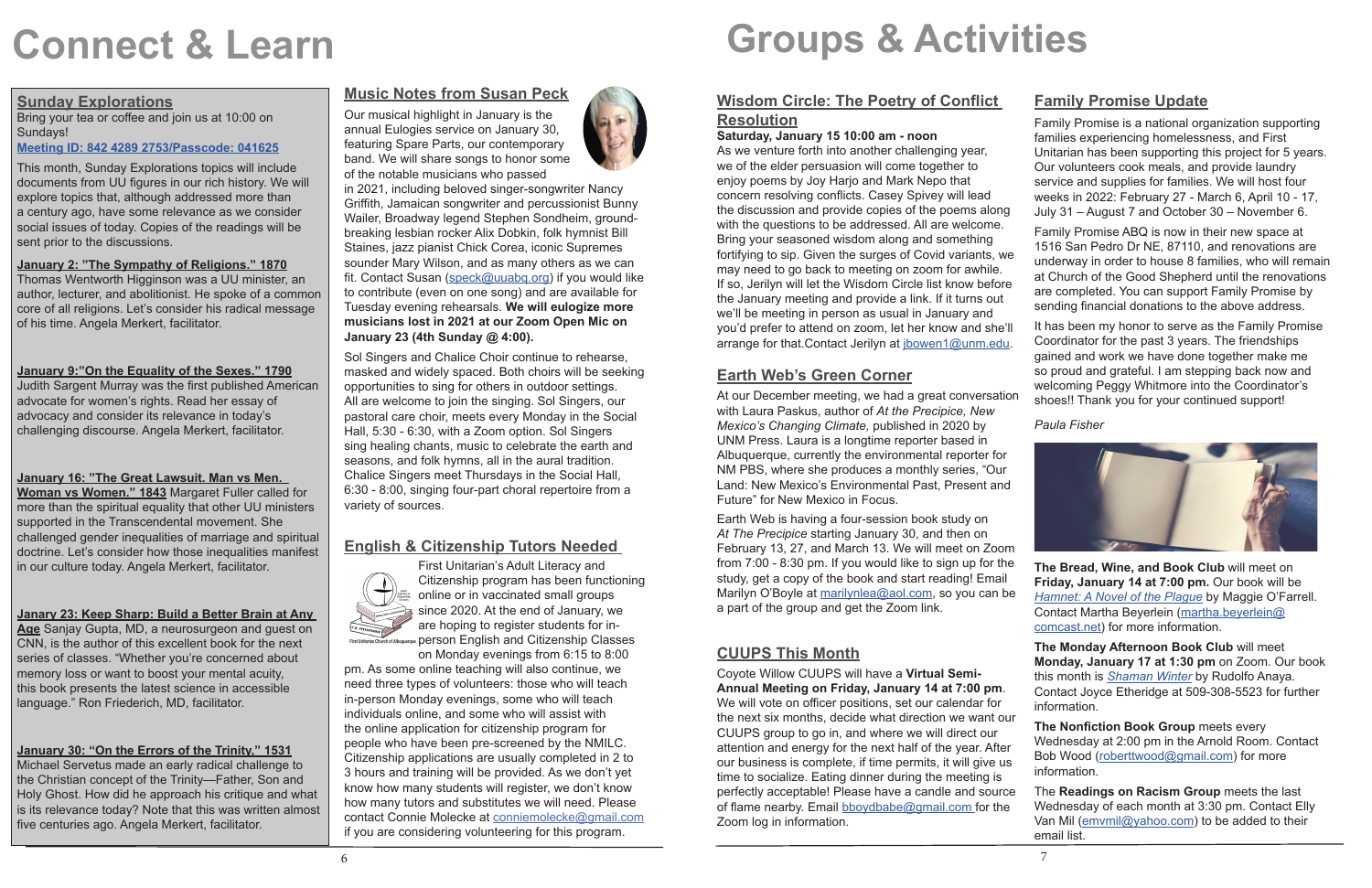#### **Sunday Explorations**

Bring your tea or coffee and join us at 10:00 on Sundays!

#### **Meeting ID: 842 4289 2753/Passcode: 041625**

This month, Sunday Explorations topics will include documents from UU figures in our rich history. We will explore topics that, although addressed more than a century ago, have some relevance as we consider social issues of today. Copies of the readings will be sent prior to the discussions.

#### **January 2: "The Sympathy of Religions." 1870**

Thomas Wentworth Higginson was a UU minister, an author, lecturer, and abolitionist. He spoke of a common core of all religions. Let's consider his radical message of his time. Angela Merkert, facilitator.

#### **January 9:"On the Equality of the Sexes." 1790**

Judith Sargent Murray was the first published American advocate for women's rights. Read her essay of advocacy and consider its relevance in today's challenging discourse. Angela Merkert, facilitator.

#### **January 16: "The Great Lawsuit. Man vs Men.**

**Woman vs Women." 1843** Margaret Fuller called for more than the spiritual equality that other UU ministers supported in the Transcendental movement. She challenged gender inequalities of marriage and spiritual doctrine. Let's consider how those inequalities manifest in our culture today. Angela Merkert, facilitator.

#### **Janary 23: Keep Sharp: Build a Better Brain at Any**

**Age** Sanjay Gupta, MD, a neurosurgeon and guest on CNN, is the author of this excellent book for the next series of classes. "Whether you're concerned about memory loss or want to boost your mental acuity, this book presents the latest science in accessible language." Ron Friederich, MD, facilitator.

#### **January 30: "On the Errors of the Trinity," 1531**

Michael Servetus made an early radical challenge to the Christian concept of the Trinity—Father, Son and Holy Ghost. How did he approach his critique and what is its relevance today? Note that this was written almost five centuries ago. Angela Merkert, facilitator.

## **Music Notes from Susan Peck**

Our musical highlight in January is the annual Eulogies service on January 30, featuring Spare Parts, our contemporary band. We will share songs to honor some of the notable musicians who passed

in 2021, including beloved singer-songwriter Nancy Griffith, Jamaican songwriter and percussionist Bunny Wailer, Broadway legend Stephen Sondheim, groundbreaking lesbian rocker Alix Dobkin, folk hymnist Bill Staines, jazz pianist Chick Corea, iconic Supremes sounder Mary Wilson, and as many others as we can fit. Contact Susan (speck@uuabq.org) if you would like to contribute (even on one song) and are available for Tuesday evening rehearsals. **We will eulogize more musicians lost in 2021 at our Zoom Open Mic on January 23 (4th Sunday @ 4:00).**

Sol Singers and Chalice Choir continue to rehearse, masked and widely spaced. Both choirs will be seeking opportunities to sing for others in outdoor settings. All are welcome to join the singing. Sol Singers, our pastoral care choir, meets every Monday in the Social Hall, 5:30 - 6:30, with a Zoom option. Sol Singers sing healing chants, music to celebrate the earth and seasons, and folk hymns, all in the aural tradition. Chalice Singers meet Thursdays in the Social Hall, 6:30 - 8:00, singing four-part choral repertoire from a variety of sources.

## **English & Citizenship Tutors Needed**



First Unitarian's Adult Literacy and Citizenship program has been functioning online or in vaccinated small groups since 2020. At the end of January, we are hoping to register students for inperson English and Citizenship Classes on Monday evenings from 6:15 to 8:00

pm. As some online teaching will also continue, we need three types of volunteers: those who will teach in-person Monday evenings, some who will teach individuals online, and some who will assist with the online application for citizenship program for people who have been pre-screened by the NMILC. Citizenship applications are usually completed in 2 to 3 hours and training will be provided. As we don't yet know how many students will register, we don't know how many tutors and substitutes we will need. Please contact Connie Molecke at conniemolecke@gmail.com if you are considering volunteering for this program.



# **Connect & Learn**

## **Wisdom Circle: The Poetry of Conflict**

## **Resolution**

### **Earth Web's Green Corner**

with Laura Paskus, author of *At the Precipice, New Mexico's Changing Climate,* published in 2020 by UNM Press. Laura is a longtime reporter based in Albuquerque, currently the environmental reporter for NM PBS, where she produces a monthly series, "Our Land: New Mexico's Environmental Past, Present and Future" for New Mexico in Focus.

Earth Web is having a four-session book study on *At The Precipice* starting January 30, and then on February 13, 27, and March 13. We will meet on Zoom from 7:00 - 8:30 pm. If you would like to sign up for the study, get a copy of the book and start reading! Email Marilyn O'Boyle at marilynlea@aol.com, so you can be a part of the group and get the Zoom link.

**Saturday, January 15 10:00 am - noon** As we venture forth into another challenging year. we of the elder persuasion will come together to enjoy poems by Joy Harjo and Mark Nepo that concern resolving conflicts. Casey Spivey will lead the discussion and provide copies of the poems along with the questions to be addressed. All are welcome. Bring your seasoned wisdom along and something fortifying to sip. Given the surges of Covid variants, we may need to go back to meeting on zoom for awhile. If so, Jerilyn will let the Wisdom Circle list know before the January meeting and provide a link. If it turns out we'll be meeting in person as usual in January and families experiencing homelessness, and First Unitarian has been supporting this project for 5 years. Our volunteers cook meals, and provide laundry service and supplies for families. We will host four weeks in 2022: February 27 - March 6, April 10 - 17, July 31 – August 7 and October 30 – November 6. Family Promise ABQ is now in their new space at 1516 San Pedro Dr NE, 87110, and renovations are underway in order to house 8 families, who will remain at Church of the Good Shepherd until the renovations are completed. You can support Family Promise by sending financial donations to the above address.

## **CUUPS This Month**

you'd prefer to attend on zoom, let her know and she'll arrange for that. Contact Jerilyn at *jbowen1@unm.edu.* At our December meeting, we had a great conversation It has been my honor to serve as the Family Promise Coordinator for the past 3 years. The friendships gained and work we have done together make me so proud and grateful. I am stepping back now and welcoming Peggy Whitmore into the Coordinator's shoes!! Thank you for your continued support!

### **Family Promise Update**

Family Promise is a national organization supporting

Coyote Willow CUUPS will have a **Virtual Semi-Annual Meeting on Friday, January 14 at 7:00 pm**. We will vote on officer positions, set our calendar for the next six months, decide what direction we want our CUUPS group to go in, and where we will direct our attention and energy for the next half of the year. After our business is complete, if time permits, it will give us time to socialize. Eating dinner during the meeting is perfectly acceptable! Please have a candle and source of flame nearby. Email bboydbabe@gmail.com for the Zoom log in information. this month is *Shaman Winter* by Rudolfo Anaya. Contact Joyce Etheridge at 509-308-5523 for further information. **The Nonfiction Book Group** meets every Wednesday at 2:00 pm in the Arnold Room. Contact Bob Wood (roberttwood@gmail.com) for more information. The **Readings on Racism Group** meets the last Wednesday of each month at 3:30 pm. Contact Elly Van Mil (emvmil@yahoo.com) to be added to their email list.

*Paula Fisher*



**The Bread, Wine, and Book Club** will meet on **Friday, January 14 at 7:00 pm.** Our book will be *Hamnet: A Novel of the Plague* by Maggie O'Farrell. Contact Martha Beyerlein (martha.beyerlein@ comcast.net) for more information.

**The Monday Afternoon Book Club** will meet **Monday, January 17 at 1:30 pm** on Zoom. Our book

# **Groups & Activities**